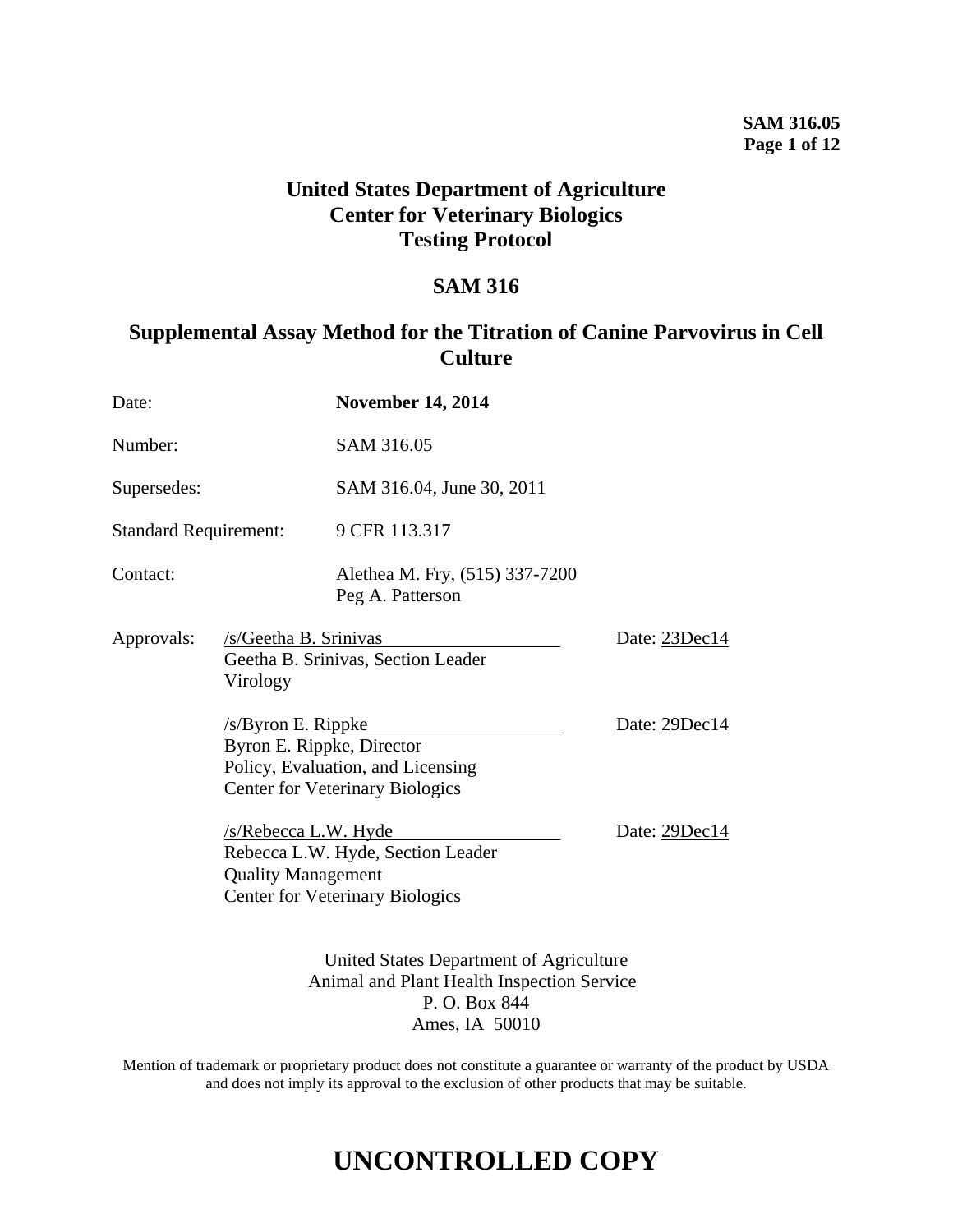### **SAM 316.05 Page 1 of 12**

## **United States Department of Agriculture Center for Veterinary Biologics Testing Protocol**

## **SAM 316**

## **Supplemental Assay Method for the Titration of Canine Parvovirus in Cell Culture**

| Date:                        |                                                                                       | <b>November 14, 2014</b>                                                    |               |
|------------------------------|---------------------------------------------------------------------------------------|-----------------------------------------------------------------------------|---------------|
| Number:                      |                                                                                       | SAM 316.05                                                                  |               |
| Supersedes:                  |                                                                                       | SAM 316.04, June 30, 2011                                                   |               |
| <b>Standard Requirement:</b> |                                                                                       | 9 CFR 113.317                                                               |               |
| Contact:                     |                                                                                       | Alethea M. Fry, (515) 337-7200<br>Peg A. Patterson                          |               |
| Approvals:                   | /s/Geetha B. Srinivas<br>Virology                                                     | Geetha B. Srinivas, Section Leader                                          | Date: 23Dec14 |
|                              | $/s$ /Byron E. Rippke<br>Byron E. Rippke, Director                                    | Policy, Evaluation, and Licensing<br><b>Center for Veterinary Biologics</b> | Date: 29Dec14 |
|                              | /s/Rebecca L.W. Hyde<br><b>Quality Management</b>                                     | Rebecca L.W. Hyde, Section Leader<br><b>Center for Veterinary Biologics</b> | Date: 29Dec14 |
|                              | United States Department of Agriculture<br>Animal and Plant Health Inspection Service |                                                                             |               |

Mention of trademark or proprietary product does not constitute a guarantee or warranty of the product by USDA and does not imply its approval to the exclusion of other products that may be suitable.

P. O. Box 844 Ames, IA 50010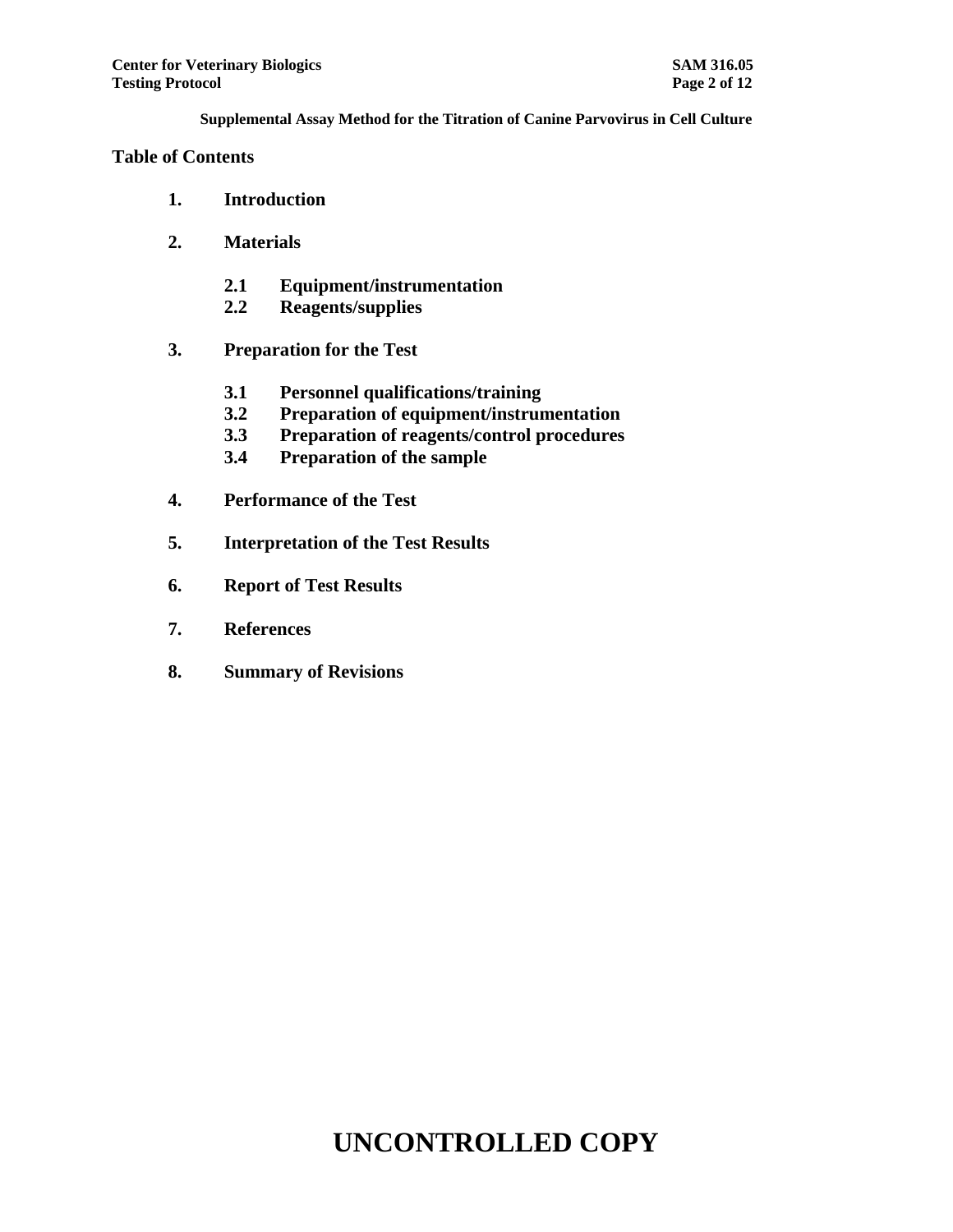#### **Table of Contents**

- **1. Introduction**
- **2. Materials**
	- **2.1 Equipment/instrumentation**
	- **2.2 Reagents/supplies**
- **3. Preparation for the Test**
	- **3.1 Personnel qualifications/training**
	- **3.2 Preparation of equipment/instrumentation**
	- **3.3 Preparation of reagents/control procedures**
	- **3.4 Preparation of the sample**
- **4. Performance of the Test**
- **5. Interpretation of the Test Results**
- **6. Report of Test Results**
- **7. References**
- **8. Summary of Revisions**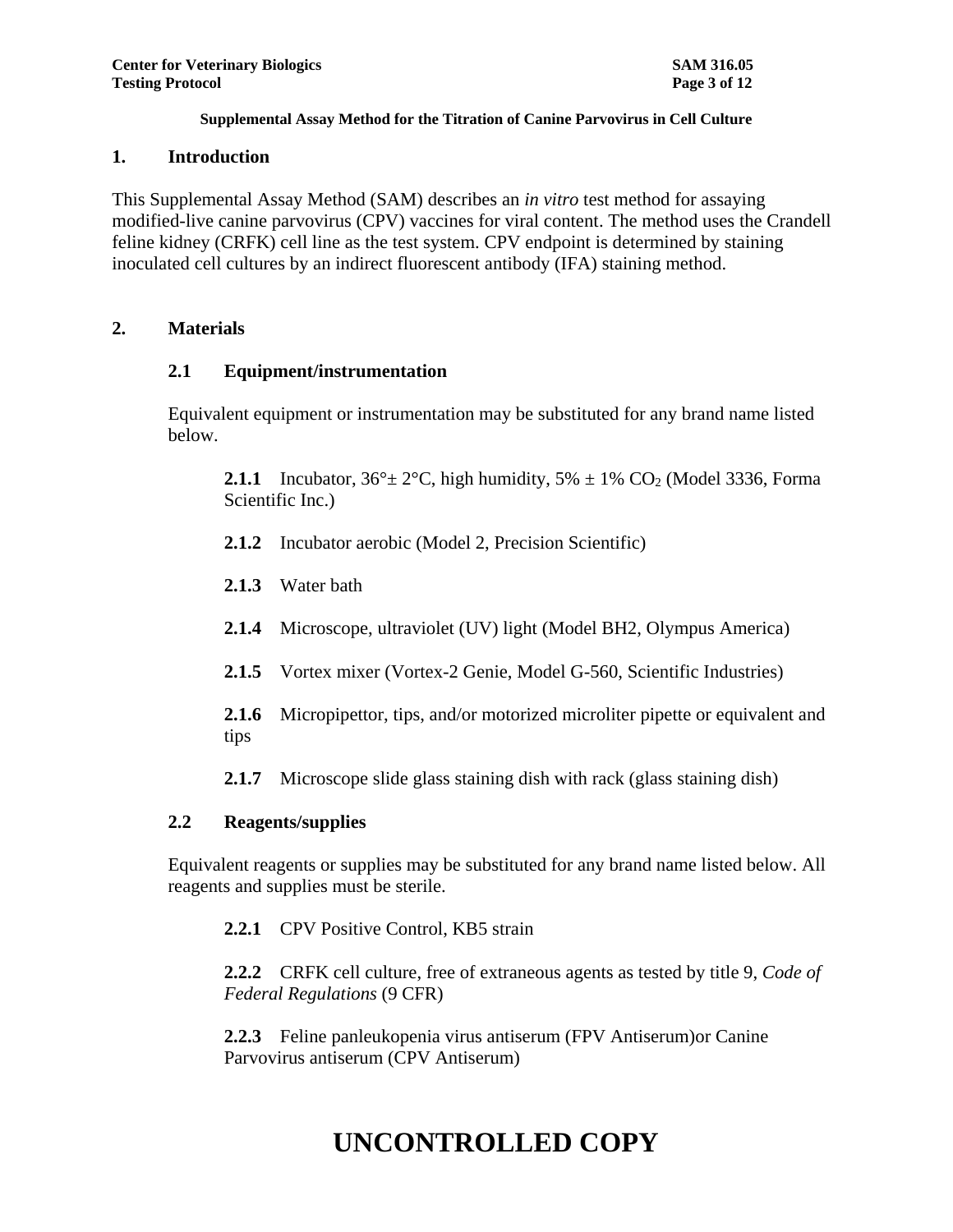#### **1. Introduction**

This Supplemental Assay Method (SAM) describes an *in vitro* test method for assaying modified-live canine parvovirus (CPV) vaccines for viral content. The method uses the Crandell feline kidney (CRFK) cell line as the test system. CPV endpoint is determined by staining inoculated cell cultures by an indirect fluorescent antibody (IFA) staining method.

### **2. Materials**

### **2.1 Equipment/instrumentation**

Equivalent equipment or instrumentation may be substituted for any brand name listed below.

**2.1.1** Incubator,  $36^{\circ} \pm 2^{\circ}$ C, high humidity,  $5\% \pm 1\%$  CO<sub>2</sub> (Model 3336, Forma Scientific Inc.)

- **2.1.2** Incubator aerobic (Model 2, Precision Scientific)
- **2.1.3** Water bath
- **2.1.4** Microscope, ultraviolet (UV) light (Model BH2, Olympus America)
- **2.1.5** Vortex mixer (Vortex-2 Genie, Model G-560, Scientific Industries)
- **2.1.6** Micropipettor, tips, and/or motorized microliter pipette or equivalent and tips
- **2.1.7** Microscope slide glass staining dish with rack (glass staining dish)

### **2.2 Reagents/supplies**

Equivalent reagents or supplies may be substituted for any brand name listed below. All reagents and supplies must be sterile.

**2.2.1** CPV Positive Control, KB5 strain

**2.2.2** CRFK cell culture, free of extraneous agents as tested by title 9, *Code of Federal Regulations* (9 CFR)

**2.2.3** Feline panleukopenia virus antiserum (FPV Antiserum)or Canine Parvovirus antiserum (CPV Antiserum)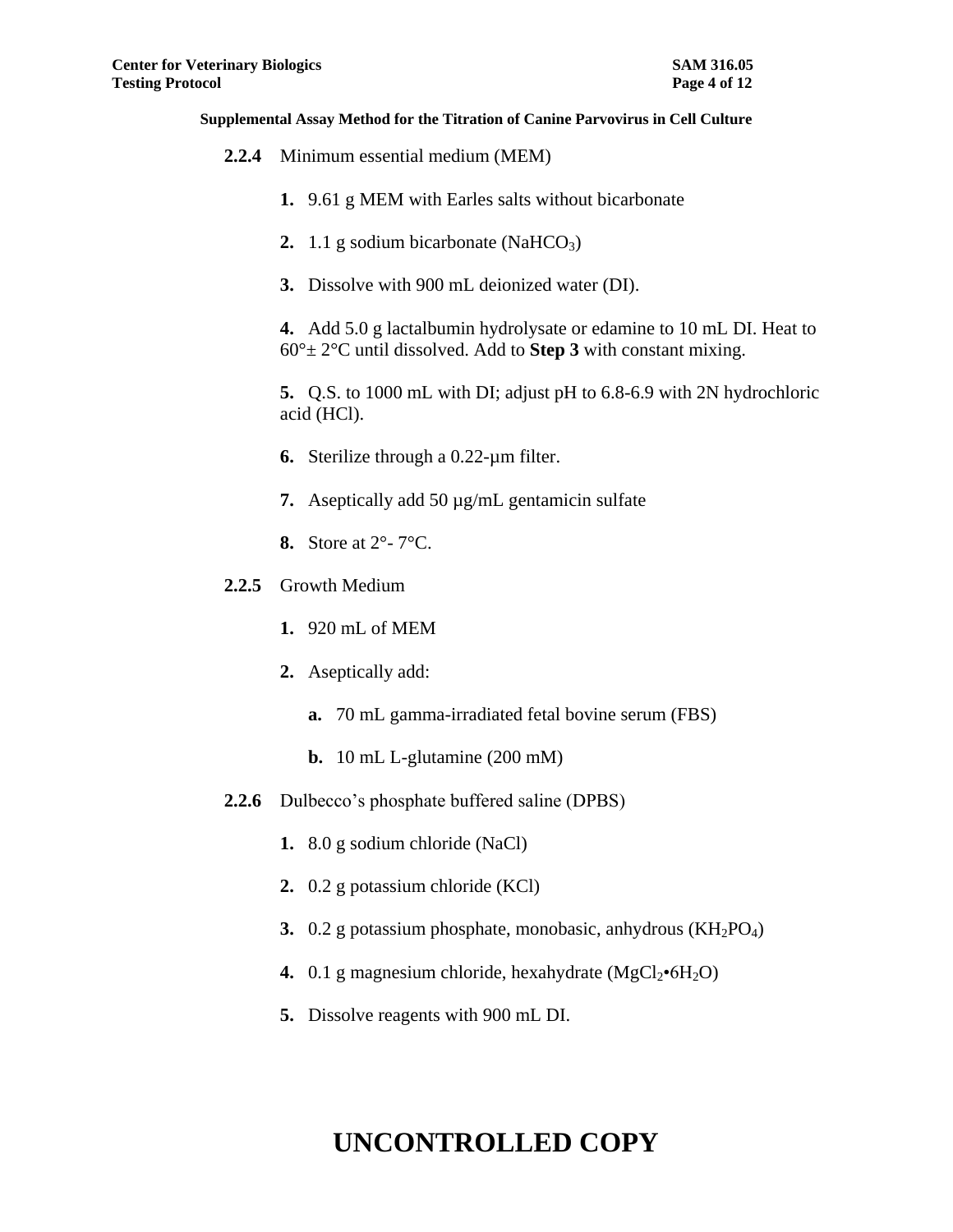- **2.2.4** Minimum essential medium (MEM)
	- **1.** 9.61 g MEM with Earles salts without bicarbonate
	- **2.** 1.1 g sodium bicarbonate  $(NaHCO<sub>3</sub>)$
	- **3.** Dissolve with 900 mL deionized water (DI).

**4.** Add 5.0 g lactalbumin hydrolysate or edamine to 10 mL DI. Heat to  $60^\circ \pm 2^\circ$ C until dissolved. Add to **Step 3** with constant mixing.

**5.** Q.S. to 1000 mL with DI; adjust pH to 6.8-6.9 with 2N hydrochloric acid (HCl).

- **6.** Sterilize through a 0.22-µm filter.
- **7.** Aseptically add 50 µg/mL gentamicin sulfate
- **8.** Store at 2°- 7°C.
- **2.2.5** Growth Medium
	- **1.** 920 mL of MEM
	- **2.** Aseptically add:
		- **a.** 70 mL gamma-irradiated fetal bovine serum (FBS)
		- **b.** 10 mL L-glutamine (200 mM)
- **2.2.6** Dulbecco's phosphate buffered saline (DPBS)
	- **1.** 8.0 g sodium chloride (NaCl)
	- **2.** 0.2 g potassium chloride (KCl)
	- **3.** 0.2 g potassium phosphate, monobasic, anhydrous (KH<sub>2</sub>PO<sub>4</sub>)
	- **4.** 0.1 g magnesium chloride, hexahydrate  $(MgCl<sub>2</sub>•6H<sub>2</sub>O)$
	- **5.** Dissolve reagents with 900 mL DI.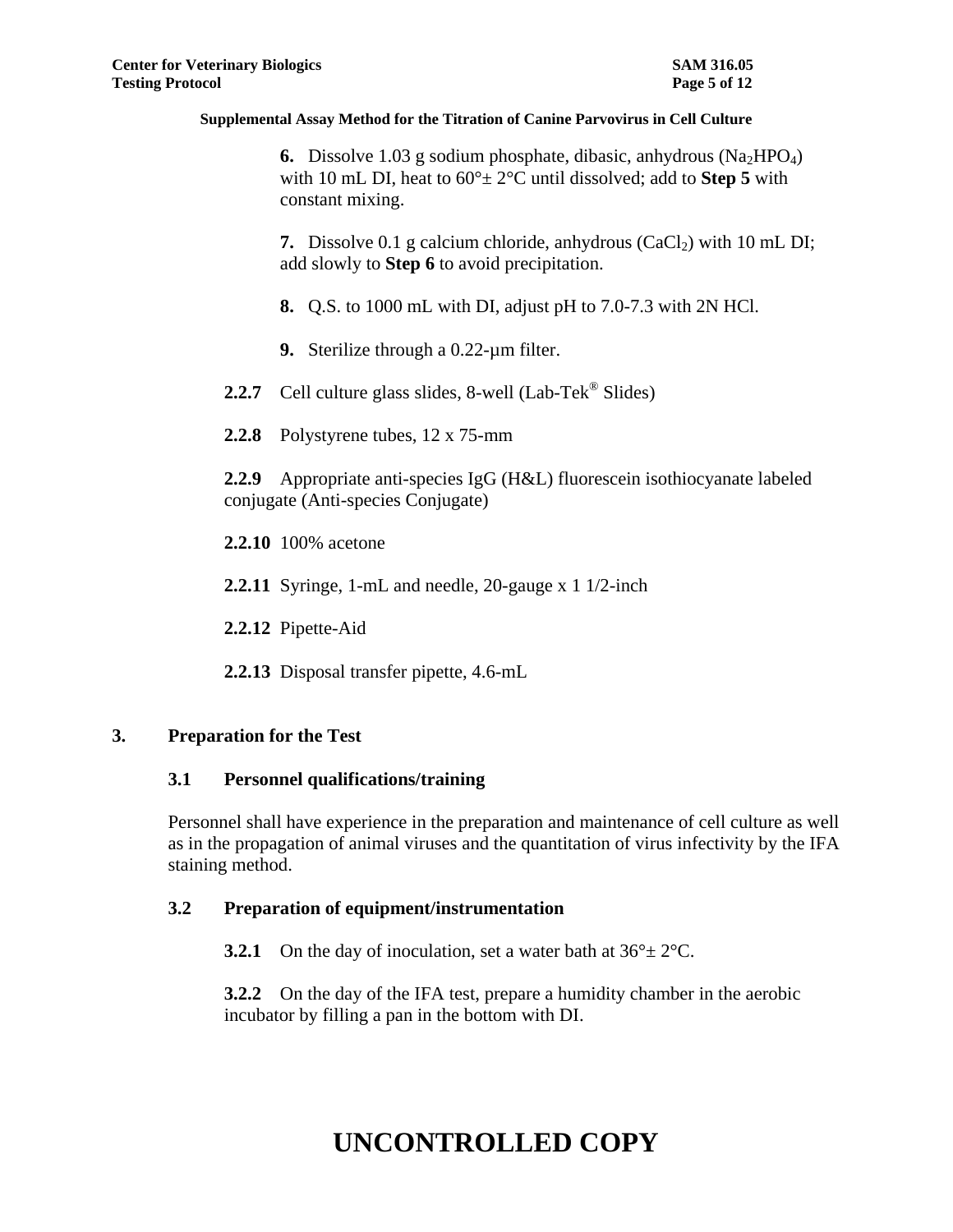**6.** Dissolve 1.03 g sodium phosphate, dibasic, anhydrous  $(Na_2HPO_4)$ with 10 mL DI, heat to  $60^{\circ}$  ±  $2^{\circ}$ C until dissolved; add to **Step 5** with constant mixing.

**7.** Dissolve 0.1 g calcium chloride, anhydrous  $(CaCl<sub>2</sub>)$  with 10 mL DI; add slowly to **Step 6** to avoid precipitation.

- **8.** Q.S. to 1000 mL with DI, adjust pH to 7.0-7.3 with 2N HCl.
- **9.** Sterilize through a 0.22-µm filter.
- 2.2.7 Cell culture glass slides, 8-well (Lab-Tek<sup>®</sup> Slides)
- **2.2.8** Polystyrene tubes, 12 x 75-mm

**2.2.9** Appropriate anti-species IgG (H&L) fluorescein isothiocyanate labeled conjugate (Anti-species Conjugate)

**2.2.10** 100% acetone

- **2.2.11** Syringe, 1-mL and needle, 20-gauge x 1 1/2-inch
- **2.2.12** Pipette-Aid
- **2.2.13** Disposal transfer pipette, 4.6-mL

### **3. Preparation for the Test**

### **3.1 Personnel qualifications/training**

Personnel shall have experience in the preparation and maintenance of cell culture as well as in the propagation of animal viruses and the quantitation of virus infectivity by the IFA staining method.

### **3.2 Preparation of equipment/instrumentation**

**3.2.1** On the day of inoculation, set a water bath at  $36^{\circ} \pm 2^{\circ}$ C.

**3.2.2** On the day of the IFA test, prepare a humidity chamber in the aerobic incubator by filling a pan in the bottom with DI.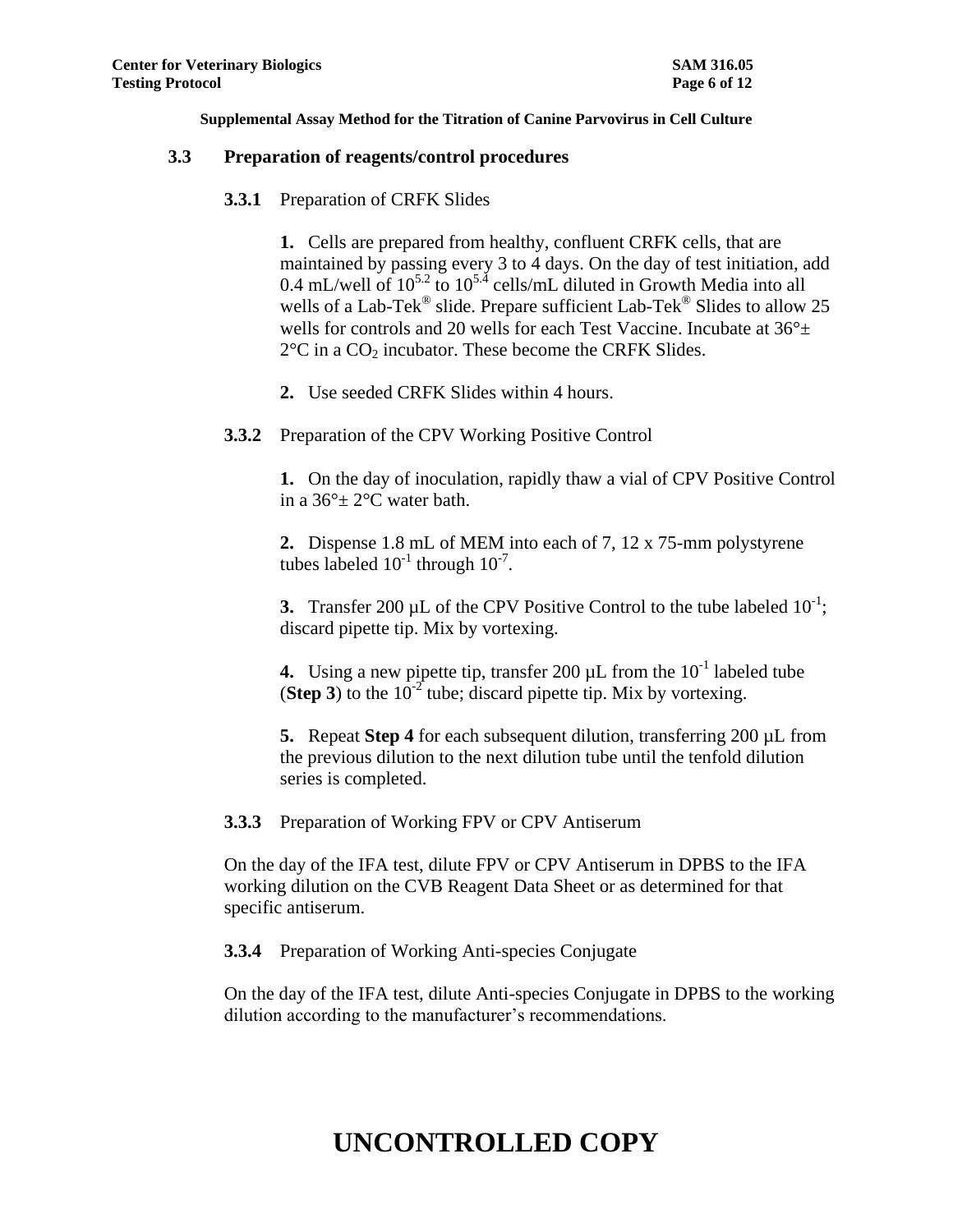#### **3.3 Preparation of reagents/control procedures**

**3.3.1** Preparation of CRFK Slides

**1.** Cells are prepared from healthy, confluent CRFK cells, that are maintained by passing every 3 to 4 days. On the day of test initiation, add 0.4 mL/well of  $10^{5.2}$  to  $10^{5.4}$  cells/mL diluted in Growth Media into all wells of a Lab-Tek<sup>®</sup> slide. Prepare sufficient Lab-Tek<sup>®</sup> Slides to allow 25 wells for controls and 20 wells for each Test Vaccine. Incubate at  $36^{\circ}$ ±  $2^{\circ}$ C in a CO<sub>2</sub> incubator. These become the CRFK Slides.

- **2.** Use seeded CRFK Slides within 4 hours.
- **3.3.2** Preparation of the CPV Working Positive Control

**1.** On the day of inoculation, rapidly thaw a vial of CPV Positive Control in a  $36^{\circ}$  ± 2°C water bath.

**2.** Dispense 1.8 mL of MEM into each of 7, 12 x 75-mm polystyrene tubes labeled  $10^{-1}$  through  $10^{-7}$ .

**3.** Transfer 200  $\mu$ L of the CPV Positive Control to the tube labeled  $10^{-1}$ ; discard pipette tip. Mix by vortexing.

**4.** Using a new pipette tip, transfer 200  $\mu$ L from the  $10^{-1}$  labeled tube (**Step 3**) to the  $10^{-2}$  tube; discard pipette tip. Mix by vortexing.

**5.** Repeat **Step 4** for each subsequent dilution, transferring 200 µL from the previous dilution to the next dilution tube until the tenfold dilution series is completed.

**3.3.3** Preparation of Working FPV or CPV Antiserum

On the day of the IFA test, dilute FPV or CPV Antiserum in DPBS to the IFA working dilution on the CVB Reagent Data Sheet or as determined for that specific antiserum.

**3.3.4** Preparation of Working Anti-species Conjugate

On the day of the IFA test, dilute Anti-species Conjugate in DPBS to the working dilution according to the manufacturer's recommendations.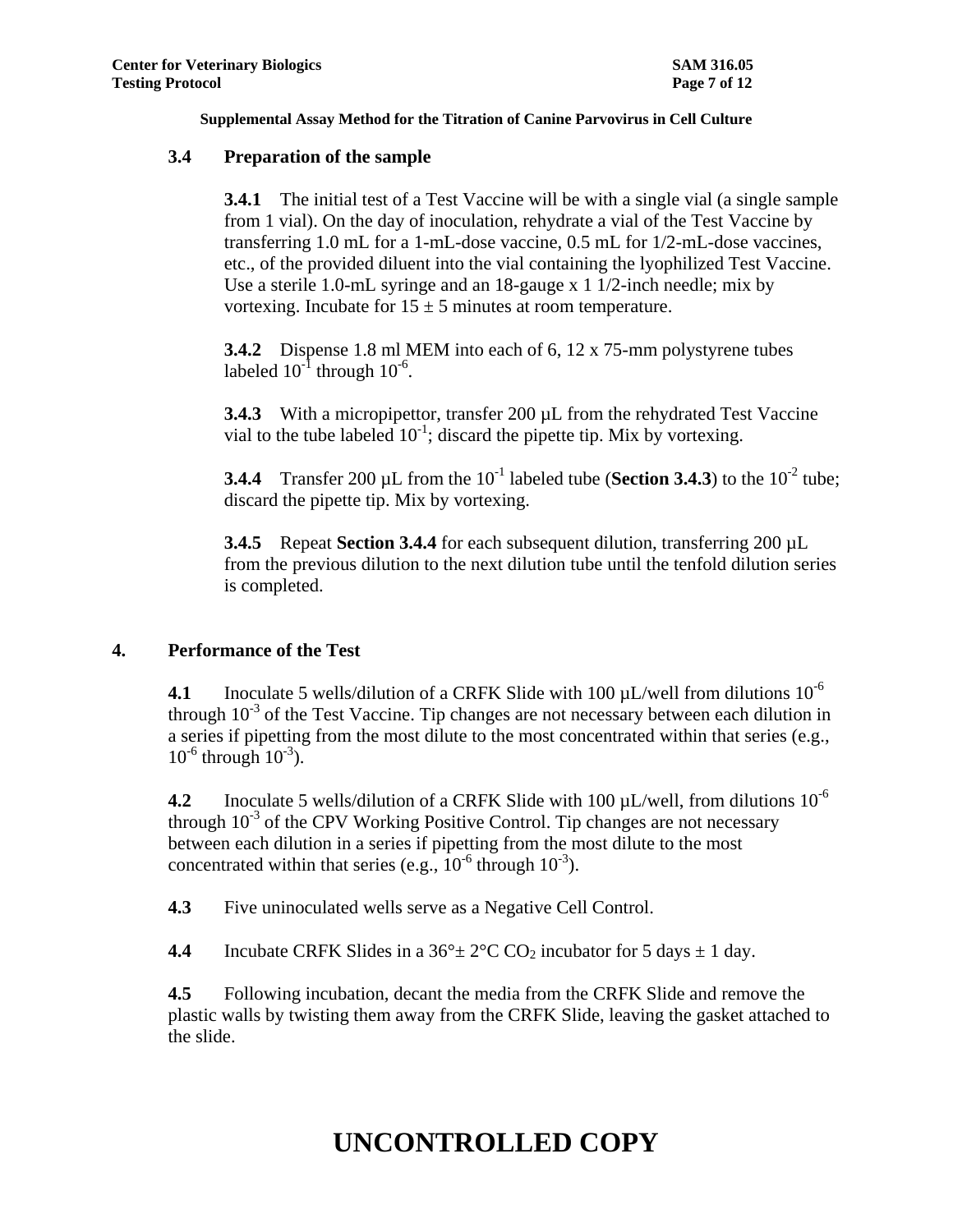### **3.4 Preparation of the sample**

**3.4.1** The initial test of a Test Vaccine will be with a single vial (a single sample from 1 vial). On the day of inoculation, rehydrate a vial of the Test Vaccine by transferring 1.0 mL for a 1-mL-dose vaccine, 0.5 mL for 1/2-mL-dose vaccines, etc., of the provided diluent into the vial containing the lyophilized Test Vaccine. Use a sterile 1.0-mL syringe and an 18-gauge x 1 1/2-inch needle; mix by vortexing. Incubate for  $15 \pm 5$  minutes at room temperature.

**3.4.2** Dispense 1.8 ml MEM into each of 6, 12 x 75-mm polystyrene tubes labeled  $10^{-1}$  through  $10^{-6}$ .

**3.4.3** With a micropipettor, transfer 200 µL from the rehydrated Test Vaccine vial to the tube labeled  $10^{-1}$ ; discard the pipette tip. Mix by vortexing.

**3.4.4** Transfer 200 µL from the  $10^{-1}$  labeled tube (**Section 3.4.3**) to the  $10^{-2}$  tube; discard the pipette tip. Mix by vortexing.

**3.4.5** Repeat **Section 3.4.4** for each subsequent dilution, transferring 200 µL from the previous dilution to the next dilution tube until the tenfold dilution series is completed.

### **4. Performance of the Test**

**4.1** Inoculate 5 wells/dilution of a CRFK Slide with 100  $\mu$ L/well from dilutions 10<sup>-6</sup> through  $10^{-3}$  of the Test Vaccine. Tip changes are not necessary between each dilution in a series if pipetting from the most dilute to the most concentrated within that series (e.g.,  $10^{-6}$  through  $10^{-3}$ ).

**4.2** Inoculate 5 wells/dilution of a CRFK Slide with 100  $\mu$ L/well, from dilutions 10<sup>-6</sup> through  $10^{-3}$  of the CPV Working Positive Control. Tip changes are not necessary between each dilution in a series if pipetting from the most dilute to the most concentrated within that series (e.g.,  $10^{-6}$  through  $10^{-3}$ ).

**4.3** Five uninoculated wells serve as a Negative Cell Control.

**4.4** Incubate CRFK Slides in a  $36^{\circ} \pm 2^{\circ}$ C CO<sub>2</sub> incubator for 5 days  $\pm$  1 day.

**4.5** Following incubation, decant the media from the CRFK Slide and remove the plastic walls by twisting them away from the CRFK Slide, leaving the gasket attached to the slide.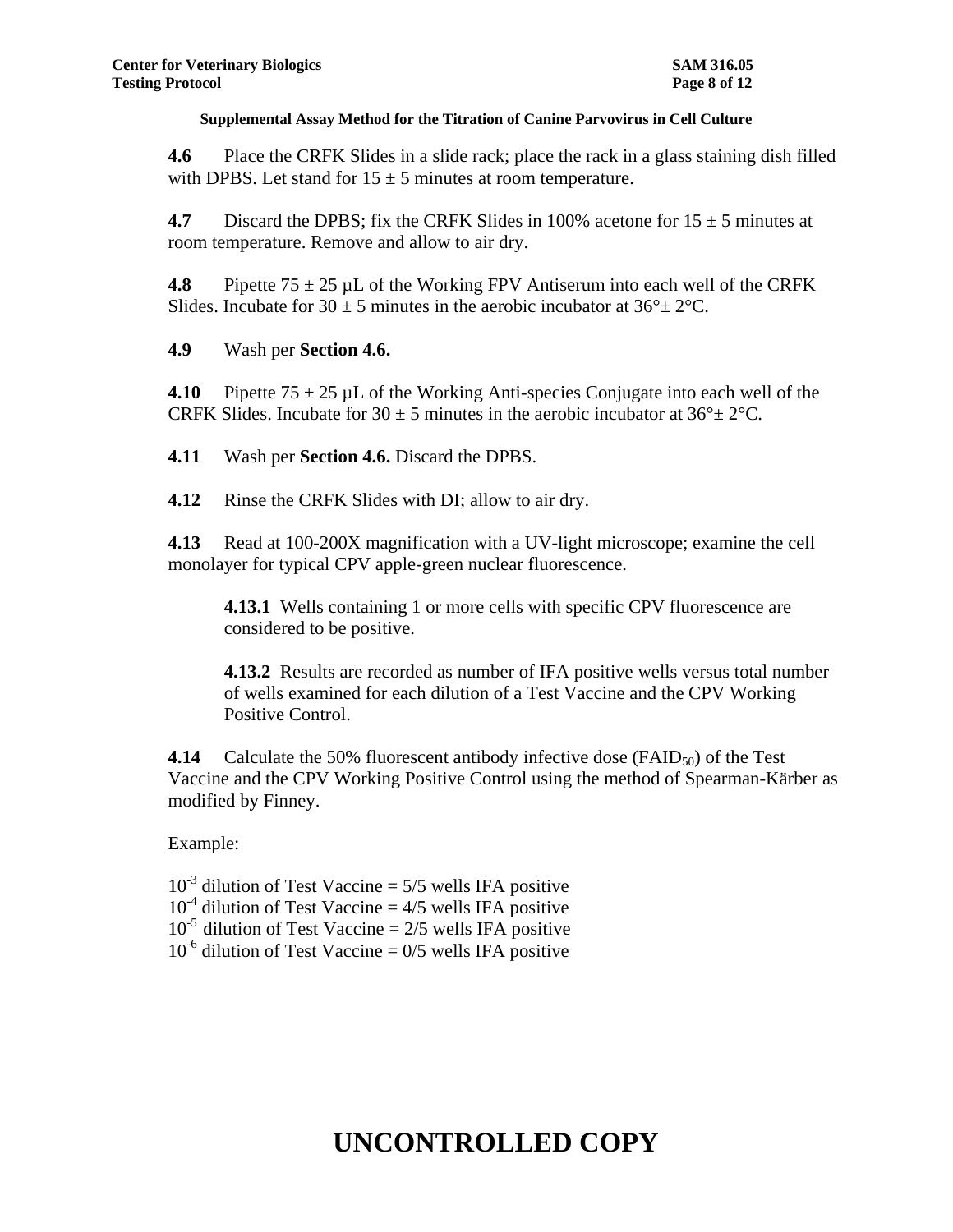**4.6** Place the CRFK Slides in a slide rack; place the rack in a glass staining dish filled with DPBS. Let stand for  $15 \pm 5$  minutes at room temperature.

**4.7** Discard the DPBS; fix the CRFK Slides in 100% acetone for  $15 \pm 5$  minutes at room temperature. Remove and allow to air dry.

**4.8** Pipette  $75 \pm 25$  µL of the Working FPV Antiserum into each well of the CRFK Slides. Incubate for  $30 \pm 5$  minutes in the aerobic incubator at  $36^{\circ} \pm 2^{\circ}$ C.

**4.9** Wash per **Section 4.6.**

**4.10** Pipette  $75 \pm 25$  µL of the Working Anti-species Conjugate into each well of the CRFK Slides. Incubate for 30  $\pm$  5 minutes in the aerobic incubator at 36 $\degree$  ± 2 $\degree$ C.

**4.11** Wash per **Section 4.6.** Discard the DPBS.

**4.12** Rinse the CRFK Slides with DI; allow to air dry.

**4.13** Read at 100-200X magnification with a UV-light microscope; examine the cell monolayer for typical CPV apple-green nuclear fluorescence.

**4.13.1** Wells containing 1 or more cells with specific CPV fluorescence are considered to be positive.

**4.13.2** Results are recorded as number of IFA positive wells versus total number of wells examined for each dilution of a Test Vaccine and the CPV Working Positive Control.

**4.14** Calculate the 50% fluorescent antibody infective dose (FAID<sub>50</sub>) of the Test Vaccine and the CPV Working Positive Control using the method of Spearman-Kärber as modified by Finney.

Example:

 $10^{-3}$  dilution of Test Vaccine = 5/5 wells IFA positive  $10^{-4}$  dilution of Test Vaccine = 4/5 wells IFA positive  $10^{-5}$  dilution of Test Vaccine = 2/5 wells IFA positive  $10^{-6}$  dilution of Test Vaccine = 0/5 wells IFA positive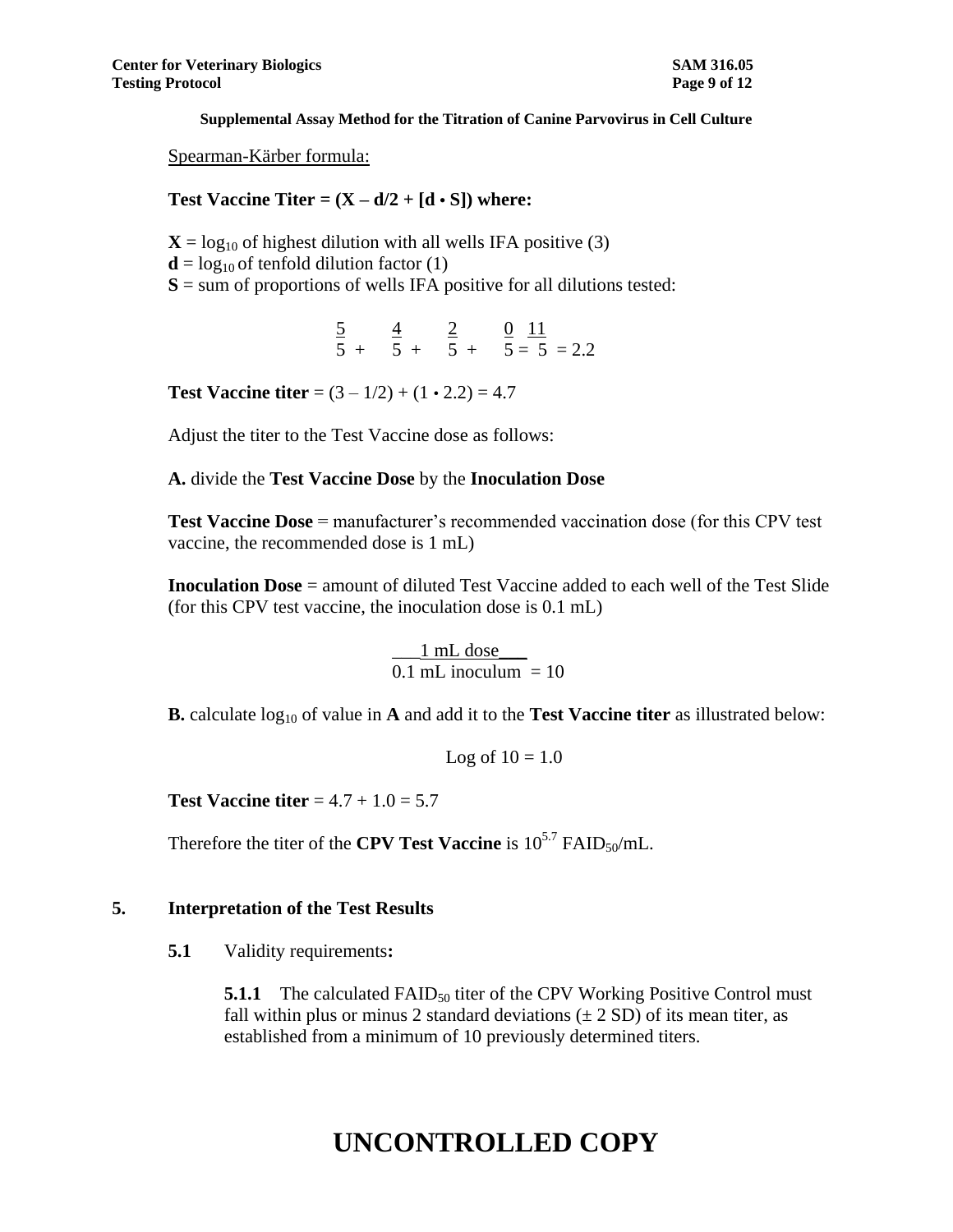Spearman-Kärber formula:

### **Test Vaccine Titer =**  $(X - d/2 + [d \cdot S])$  **where:**

- $X = log_{10}$  of highest dilution with all wells IFA positive (3)
- $\mathbf{d} = \log_{10}$  of tenfold dilution factor (1)
- $S =$ sum of proportions of wells IFA positive for all dilutions tested:
	- $\frac{5}{2}$   $\frac{4}{2}$   $\frac{0}{11}$  $5 + 5 + 5 + 5 = 5 = 2.2$

**Test Vaccine titer** =  $(3 - 1/2) + (1 \cdot 2.2) = 4.7$ 

Adjust the titer to the Test Vaccine dose as follows:

#### **A.** divide the **Test Vaccine Dose** by the **Inoculation Dose**

**Test Vaccine Dose** = manufacturer's recommended vaccination dose (for this CPV test vaccine, the recommended dose is 1 mL)

**Inoculation Dose** = amount of diluted Test Vaccine added to each well of the Test Slide (for this CPV test vaccine, the inoculation dose is 0.1 mL)

> $\_1$  mL dose  $\_$  $0.1 \overline{\text{mL inoculum}} = 10$

**B.** calculate  $log_{10}$  of value in **A** and add it to the **Test Vaccine titer** as illustrated below:

Log of  $10 = 1.0$ 

**Test Vaccine titer**  $= 4.7 + 1.0 = 5.7$ 

Therefore the titer of the **CPV Test Vaccine** is  $10^{5.7}$  FAID<sub>50</sub>/mL.

#### **5. Interpretation of the Test Results**

**5.1** Validity requirements**:**

**5.1.1** The calculated FAID<sub>50</sub> titer of the CPV Working Positive Control must fall within plus or minus 2 standard deviations  $(\pm 2 SD)$  of its mean titer, as established from a minimum of 10 previously determined titers.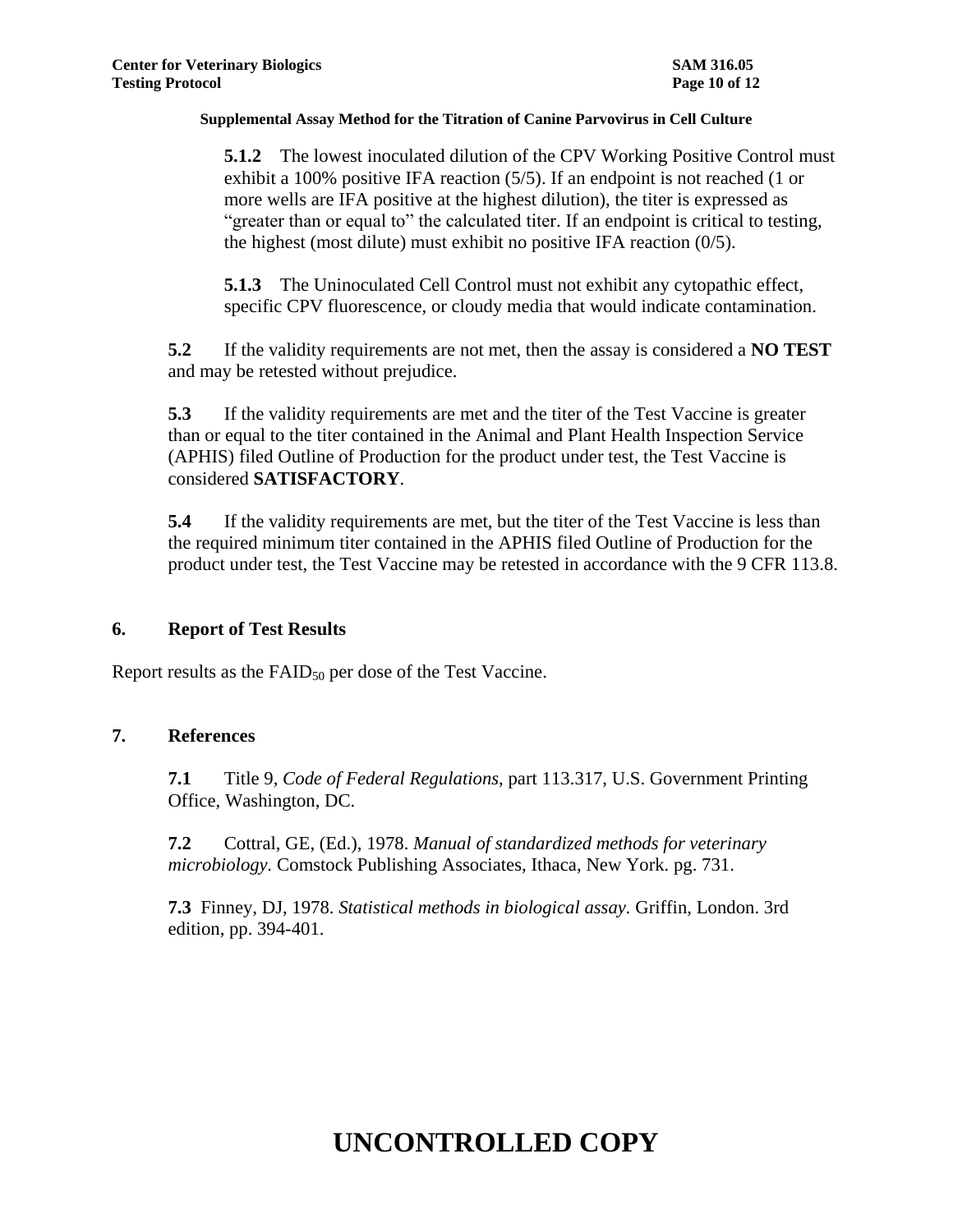**5.1.2** The lowest inoculated dilution of the CPV Working Positive Control must exhibit a 100% positive IFA reaction (5/5). If an endpoint is not reached (1 or more wells are IFA positive at the highest dilution), the titer is expressed as "greater than or equal to" the calculated titer. If an endpoint is critical to testing, the highest (most dilute) must exhibit no positive IFA reaction (0/5).

**5.1.3** The Uninoculated Cell Control must not exhibit any cytopathic effect, specific CPV fluorescence, or cloudy media that would indicate contamination.

**5.2** If the validity requirements are not met, then the assay is considered a **NO TEST** and may be retested without prejudice.

**5.3** If the validity requirements are met and the titer of the Test Vaccine is greater than or equal to the titer contained in the Animal and Plant Health Inspection Service (APHIS) filed Outline of Production for the product under test, the Test Vaccine is considered **SATISFACTORY**.

**5.4** If the validity requirements are met, but the titer of the Test Vaccine is less than the required minimum titer contained in the APHIS filed Outline of Production for the product under test, the Test Vaccine may be retested in accordance with the 9 CFR 113.8.

### **6. Report of Test Results**

Report results as the  $FAID_{50}$  per dose of the Test Vaccine.

### **7. References**

**7.1** Title 9, *Code of Federal Regulations*, part 113.317, U.S. Government Printing Office, Washington, DC.

**7.2** Cottral, GE, (Ed.), 1978. *Manual of standardized methods for veterinary microbiology.* Comstock Publishing Associates, Ithaca, New York. pg. 731.

**7.3** Finney, DJ, 1978. *Statistical methods in biological assay.* Griffin, London. 3rd edition, pp. 394-401.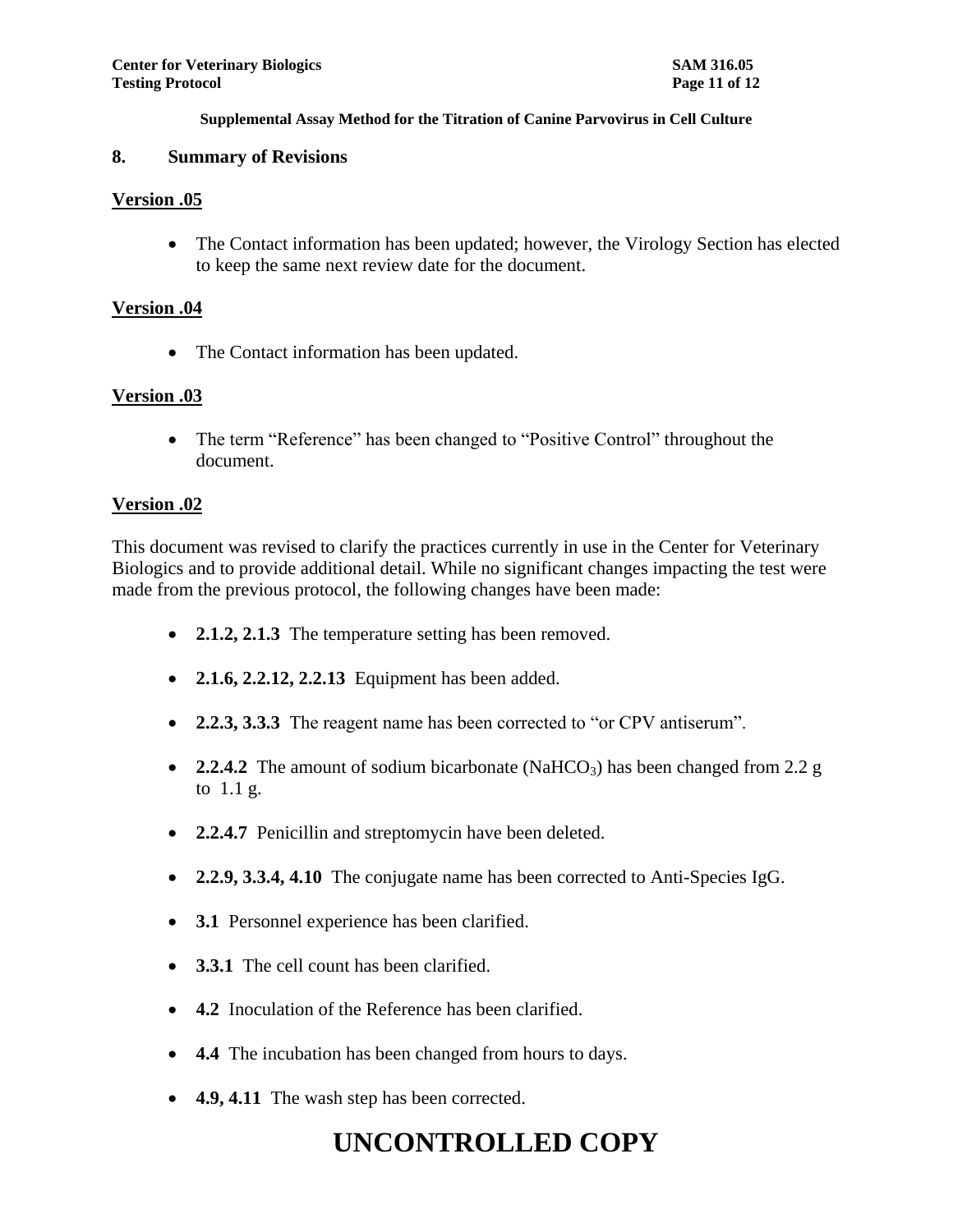#### **8. Summary of Revisions**

#### **Version .05**

• The Contact information has been updated; however, the Virology Section has elected to keep the same next review date for the document.

### **Version .04**

• The Contact information has been updated.

### **Version .03**

• The term "Reference" has been changed to "Positive Control" throughout the document.

#### **Version .02**

This document was revised to clarify the practices currently in use in the Center for Veterinary Biologics and to provide additional detail. While no significant changes impacting the test were made from the previous protocol, the following changes have been made:

- **2.1.2, 2.1.3** The temperature setting has been removed.
- **2.1.6, 2.2.12, 2.2.13** Equipment has been added.
- **2.2.3, 3.3.3** The reagent name has been corrected to "or CPV antiserum".
- 2.2.4.2 The amount of sodium bicarbonate (NaHCO<sub>3</sub>) has been changed from 2.2 g to 1.1 g.
- **2.2.4.7** Penicillin and streptomycin have been deleted.
- **2.2.9, 3.3.4, 4.10** The conjugate name has been corrected to Anti-Species IgG.
- **3.1** Personnel experience has been clarified.
- **3.3.1** The cell count has been clarified.
- **4.2** Inoculation of the Reference has been clarified.
- **4.4** The incubation has been changed from hours to days.
- **4.9, 4.11** The wash step has been corrected.